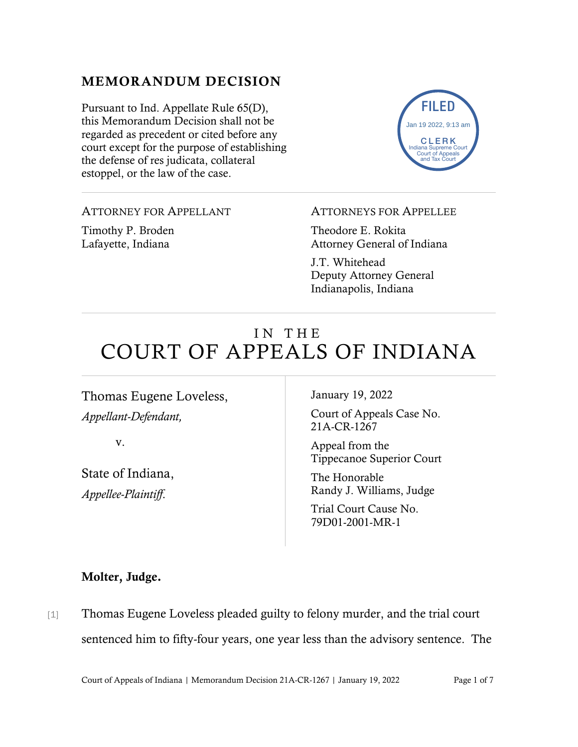# MEMORANDUM DECISION

Pursuant to Ind. Appellate Rule 65(D), this Memorandum Decision shall not be regarded as precedent or cited before any court except for the purpose of establishing the defense of res judicata, collateral estoppel, or the law of the case.



### ATTORNEY FOR APPELLANT

Timothy P. Broden Lafayette, Indiana

#### ATTORNEYS FOR APPELLEE

Theodore E. Rokita Attorney General of Indiana

J.T. Whitehead Deputy Attorney General Indianapolis, Indiana

# IN THE COURT OF APPEALS OF INDIANA

Thomas Eugene Loveless, *Appellant-Defendant,*

v.

State of Indiana, *Appellee-Plaintiff*.

January 19, 2022

Court of Appeals Case No. 21A-CR-1267

Appeal from the Tippecanoe Superior Court

The Honorable Randy J. Williams, Judge

Trial Court Cause No. 79D01-2001-MR-1

### Molter, Judge.

[1] Thomas Eugene Loveless pleaded guilty to felony murder, and the trial court sentenced him to fifty-four years, one year less than the advisory sentence. The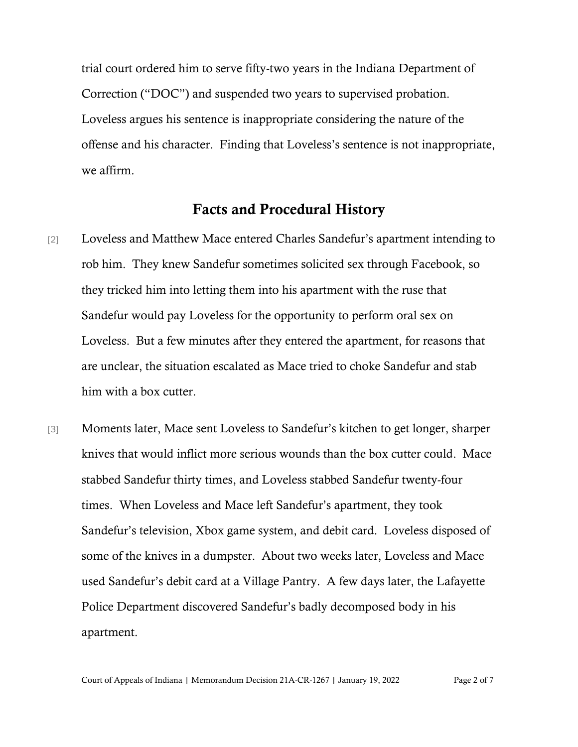trial court ordered him to serve fifty-two years in the Indiana Department of Correction ("DOC") and suspended two years to supervised probation. Loveless argues his sentence is inappropriate considering the nature of the offense and his character. Finding that Loveless's sentence is not inappropriate, we affirm.

### Facts and Procedural History

- [2] Loveless and Matthew Mace entered Charles Sandefur's apartment intending to rob him. They knew Sandefur sometimes solicited sex through Facebook, so they tricked him into letting them into his apartment with the ruse that Sandefur would pay Loveless for the opportunity to perform oral sex on Loveless. But a few minutes after they entered the apartment, for reasons that are unclear, the situation escalated as Mace tried to choke Sandefur and stab him with a box cutter.
- [3] Moments later, Mace sent Loveless to Sandefur's kitchen to get longer, sharper knives that would inflict more serious wounds than the box cutter could. Mace stabbed Sandefur thirty times, and Loveless stabbed Sandefur twenty-four times. When Loveless and Mace left Sandefur's apartment, they took Sandefur's television, Xbox game system, and debit card. Loveless disposed of some of the knives in a dumpster. About two weeks later, Loveless and Mace used Sandefur's debit card at a Village Pantry. A few days later, the Lafayette Police Department discovered Sandefur's badly decomposed body in his apartment.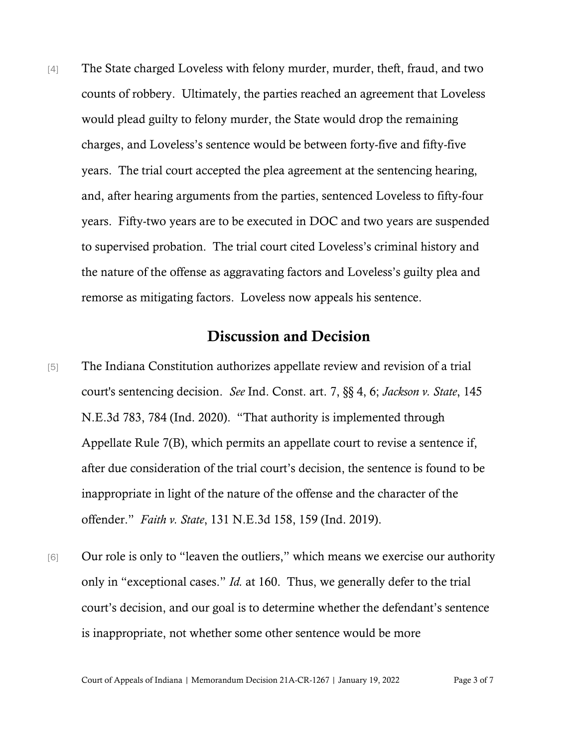[4] The State charged Loveless with felony murder, murder, theft, fraud, and two counts of robbery. Ultimately, the parties reached an agreement that Loveless would plead guilty to felony murder, the State would drop the remaining charges, and Loveless's sentence would be between forty-five and fifty-five years. The trial court accepted the plea agreement at the sentencing hearing, and, after hearing arguments from the parties, sentenced Loveless to fifty-four years. Fifty-two years are to be executed in DOC and two years are suspended to supervised probation. The trial court cited Loveless's criminal history and the nature of the offense as aggravating factors and Loveless's guilty plea and remorse as mitigating factors. Loveless now appeals his sentence.

## Discussion and Decision

- [5] The Indiana Constitution authorizes appellate review and revision of a trial court's sentencing decision. *See* Ind. Const. art. 7, §§ 4, 6; *Jackson v. State*, 145 N.E.3d 783, 784 (Ind. 2020). "That authority is implemented through Appellate Rule 7(B), which permits an appellate court to revise a sentence if, after due consideration of the trial court's decision, the sentence is found to be inappropriate in light of the nature of the offense and the character of the offender." *Faith v. State*, 131 N.E.3d 158, 159 (Ind. 2019).
- [6] Our role is only to "leaven the outliers," which means we exercise our authority only in "exceptional cases." *Id.* at 160. Thus, we generally defer to the trial court's decision, and our goal is to determine whether the defendant's sentence is inappropriate, not whether some other sentence would be more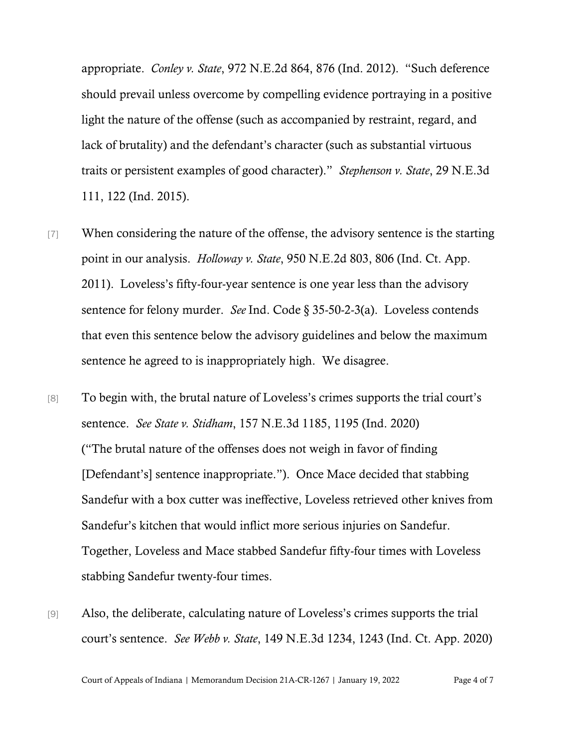appropriate. *Conley v. State*, 972 N.E.2d 864, 876 (Ind. 2012). "Such deference should prevail unless overcome by compelling evidence portraying in a positive light the nature of the offense (such as accompanied by restraint, regard, and lack of brutality) and the defendant's character (such as substantial virtuous traits or persistent examples of good character)." *Stephenson v. State*, 29 N.E.3d 111, 122 (Ind. 2015).

- [7] When considering the nature of the offense, the advisory sentence is the starting point in our analysis. *Holloway v. State*, 950 N.E.2d 803, 806 (Ind. Ct. App. 2011). Loveless's fifty-four-year sentence is one year less than the advisory sentence for felony murder. *See* Ind. Code § 35-50-2-3(a). Loveless contends that even this sentence below the advisory guidelines and below the maximum sentence he agreed to is inappropriately high. We disagree.
- [8] To begin with, the brutal nature of Loveless's crimes supports the trial court's sentence. *See State v. Stidham*, 157 N.E.3d 1185, 1195 (Ind. 2020) ("The brutal nature of the offenses does not weigh in favor of finding [Defendant's] sentence inappropriate."). Once Mace decided that stabbing Sandefur with a box cutter was ineffective, Loveless retrieved other knives from Sandefur's kitchen that would inflict more serious injuries on Sandefur. Together, Loveless and Mace stabbed Sandefur fifty-four times with Loveless stabbing Sandefur twenty-four times.
- [9] Also, the deliberate, calculating nature of Loveless's crimes supports the trial court's sentence. *See Webb v. State*, 149 N.E.3d 1234, 1243 (Ind. Ct. App. 2020)

Court of Appeals of Indiana | Memorandum Decision 21A-CR-1267 | January 19, 2022 Page 4 of 7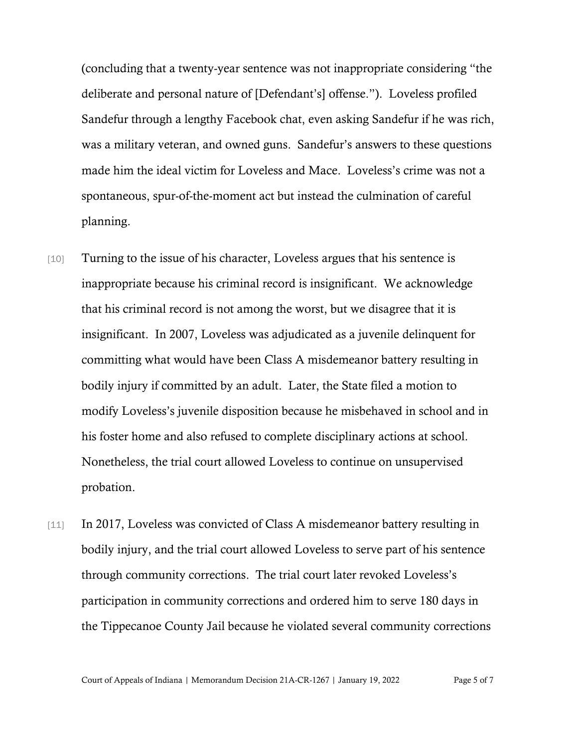(concluding that a twenty-year sentence was not inappropriate considering "the deliberate and personal nature of [Defendant's] offense."). Loveless profiled Sandefur through a lengthy Facebook chat, even asking Sandefur if he was rich, was a military veteran, and owned guns. Sandefur's answers to these questions made him the ideal victim for Loveless and Mace. Loveless's crime was not a spontaneous, spur-of-the-moment act but instead the culmination of careful planning.

- [10] Turning to the issue of his character, Loveless argues that his sentence is inappropriate because his criminal record is insignificant. We acknowledge that his criminal record is not among the worst, but we disagree that it is insignificant. In 2007, Loveless was adjudicated as a juvenile delinquent for committing what would have been Class A misdemeanor battery resulting in bodily injury if committed by an adult. Later, the State filed a motion to modify Loveless's juvenile disposition because he misbehaved in school and in his foster home and also refused to complete disciplinary actions at school. Nonetheless, the trial court allowed Loveless to continue on unsupervised probation.
- [11] In 2017, Loveless was convicted of Class A misdemeanor battery resulting in bodily injury, and the trial court allowed Loveless to serve part of his sentence through community corrections. The trial court later revoked Loveless's participation in community corrections and ordered him to serve 180 days in the Tippecanoe County Jail because he violated several community corrections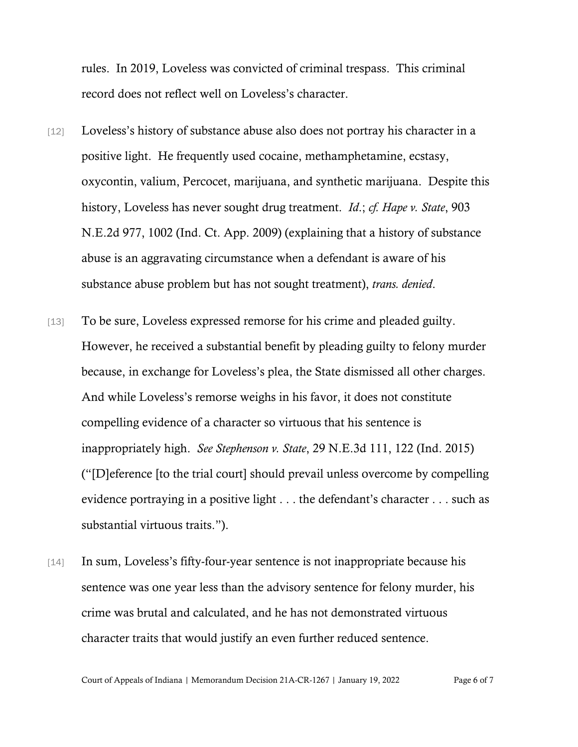rules. In 2019, Loveless was convicted of criminal trespass. This criminal record does not reflect well on Loveless's character.

- [12] Loveless's history of substance abuse also does not portray his character in a positive light. He frequently used cocaine, methamphetamine, ecstasy, oxycontin, valium, Percocet, marijuana, and synthetic marijuana. Despite this history, Loveless has never sought drug treatment. *Id*.; *cf. Hape v. State*, 903 N.E.2d 977, 1002 (Ind. Ct. App. 2009) (explaining that a history of substance abuse is an aggravating circumstance when a defendant is aware of his substance abuse problem but has not sought treatment), *trans. denied*.
- [13] To be sure, Loveless expressed remorse for his crime and pleaded guilty. However, he received a substantial benefit by pleading guilty to felony murder because, in exchange for Loveless's plea, the State dismissed all other charges. And while Loveless's remorse weighs in his favor, it does not constitute compelling evidence of a character so virtuous that his sentence is inappropriately high. *See Stephenson v. State*, 29 N.E.3d 111, 122 (Ind. 2015) ("[D]eference [to the trial court] should prevail unless overcome by compelling evidence portraying in a positive light . . . the defendant's character . . . such as substantial virtuous traits.").
- [14] In sum, Loveless's fifty-four-year sentence is not inappropriate because his sentence was one year less than the advisory sentence for felony murder, his crime was brutal and calculated, and he has not demonstrated virtuous character traits that would justify an even further reduced sentence.

Court of Appeals of Indiana | Memorandum Decision 21A-CR-1267 | January 19, 2022 Page 6 of 7